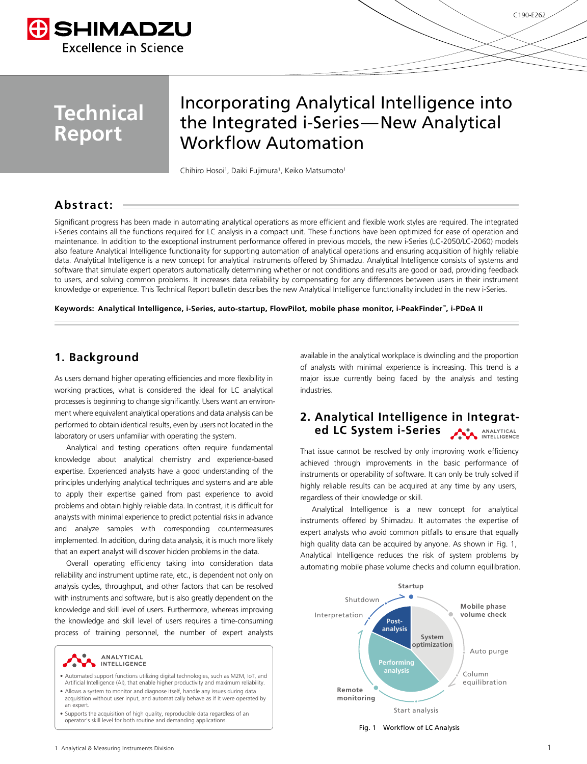

# **Technical Report**

## Incorporating Analytical Intelligence into the Integrated i-Series—New Analytical Workflow Automation

Chihiro Hosoi<sup>1</sup>, Daiki Fujimura<sup>1</sup>, Keiko Matsumoto<sup>1</sup>

#### **Abstract:**

Significant progress has been made in automating analytical operations as more efficient and flexible work styles are required. The integrated i-Series contains all the functions required for LC analysis in a compact unit. These functions have been optimized for ease of operation and maintenance. In addition to the exceptional instrument performance offered in previous models, the new i-Series (LC-2050/LC-2060) models also feature Analytical Intelligence functionality for supporting automation of analytical operations and ensuring acquisition of highly reliable data. Analytical Intelligence is a new concept for analytical instruments offered by Shimadzu. Analytical Intelligence consists of systems and software that simulate expert operators automatically determining whether or not conditions and results are good or bad, providing feedback to users, and solving common problems. It increases data reliability by compensating for any differences between users in their instrument knowledge or experience. This Technical Report bulletin describes the new Analytical Intelligence functionality included in the new i-Series.

**Keywords: Analytical Intelligence, i-Series, auto-startup, FlowPilot, mobile phase monitor, i-PeakFinder**™**, i-PDeA II**

#### **1. Background**

As users demand higher operating efficiencies and more flexibility in working practices, what is considered the ideal for LC analytical processes is beginning to change significantly. Users want an environment where equivalent analytical operations and data analysis can be performed to obtain identical results, even by users not located in the laboratory or users unfamiliar with operating the system.

Analytical and testing operations often require fundamental knowledge about analytical chemistry and experience-based expertise. Experienced analysts have a good understanding of the principles underlying analytical techniques and systems and are able to apply their expertise gained from past experience to avoid problems and obtain highly reliable data. In contrast, it is difficult for analysts with minimal experience to predict potential risks in advance and analyze samples with corresponding countermeasures implemented. In addition, during data analysis, it is much more likely that an expert analyst will discover hidden problems in the data.

Overall operating efficiency taking into consideration data reliability and instrument uptime rate, etc., is dependent not only on analysis cycles, throughput, and other factors that can be resolved with instruments and software, but is also greatly dependent on the knowledge and skill level of users. Furthermore, whereas improving the knowledge and skill level of users requires a time-consuming process of training personnel, the number of expert analysts



- Automated support functions utilizing digital technologies, such as M2M, IoT, and Artificial Intelligence (AI), that enable higher productivity and maximum reliability.
- Allows a system to monitor and diagnose itself, handle any issues during data acquisition without user input, and automatically behave as if it were operated by an expert.
- Supports the acquisition of high quality, reproducible data regardless of an operator's skill level for both routine and demanding applications.

available in the analytical workplace is dwindling and the proportion of analysts with minimal experience is increasing. This trend is a major issue currently being faced by the analysis and testing industries.

#### **2. Analytical Intelligence in Integrated LC System i-Series** ANALYTICAL

That issue cannot be resolved by only improving work efficiency achieved through improvements in the basic performance of instruments or operability of software. It can only be truly solved if highly reliable results can be acquired at any time by any users, regardless of their knowledge or skill.

Analytical Intelligence is a new concept for analytical instruments offered by Shimadzu. It automates the expertise of expert analysts who avoid common pitfalls to ensure that equally high quality data can be acquired by anyone. As shown in Fig. 1, Analytical Intelligence reduces the risk of system problems by automating mobile phase volume checks and column equilibration.



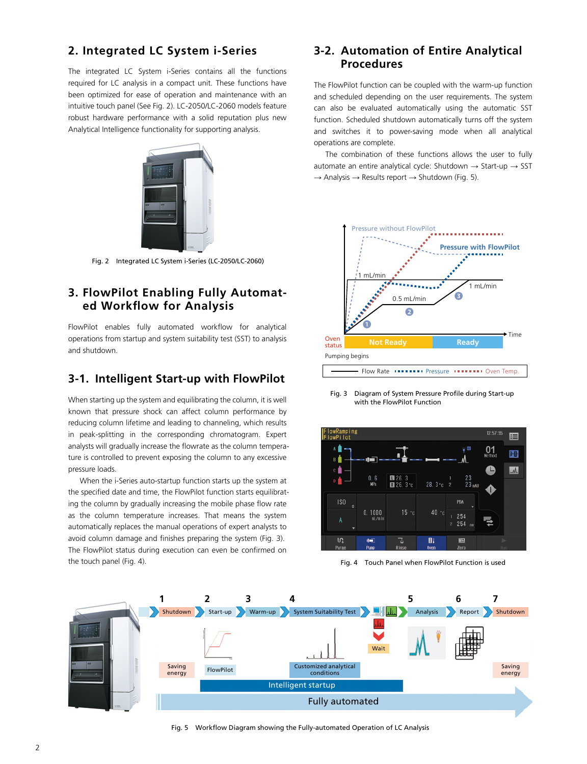## **2. Integrated LC System i-Series**

The integrated LC System i-Series contains all the functions required for LC analysis in a compact unit. These functions have been optimized for ease of operation and maintenance with an intuitive touch panel (See Fig. 2). LC-2050/LC-2060 models feature robust hardware performance with a solid reputation plus new Analytical Intelligence functionality for supporting analysis.



Fig. 2 Integrated LC System i-Series (LC-2050/LC-2060)

### **3. FlowPilot Enabling Fully Automated Workflow for Analysis**

FlowPilot enables fully automated workflow for analytical operations from startup and system suitability test (SST) to analysis and shutdown.

#### **3-1. Intelligent Start-up with FlowPilot**

When starting up the system and equilibrating the column, it is well known that pressure shock can affect column performance by reducing column lifetime and leading to channeling, which results in peak-splitting in the corresponding chromatogram. Expert analysts will gradually increase the flowrate as the column temperature is controlled to prevent exposing the column to any excessive pressure loads.

When the i-Series auto-startup function starts up the system at the specified date and time, the FlowPilot function starts equilibrating the column by gradually increasing the mobile phase flow rate as the column temperature increases. That means the system automatically replaces the manual operations of expert analysts to avoid column damage and finishes preparing the system (Fig. 3). The FlowPilot status during execution can even be confirmed on the touch panel (Fig. 4).

#### **3-2. Automation of Entire Analytical Procedures**

The FlowPilot function can be coupled with the warm-up function and scheduled depending on the user requirements. The system can also be evaluated automatically using the automatic SST function. Scheduled shutdown automatically turns off the system and switches it to power-saving mode when all analytical operations are complete.

The combination of these functions allows the user to fully automate an entire analytical cycle: Shutdown  $\rightarrow$  Start-up  $\rightarrow$  SST  $\rightarrow$  Analysis  $\rightarrow$  Results report  $\rightarrow$  Shutdown (Fig. 5).



Fig. 3 Diagram of System Pressure Profile during Start-up with the FlowPilot Function



Fig. 4 Touch Panel when FlowPilot Function is used



Fig. 5 Workflow Diagram showing the Fully-automated Operation of LC Analysis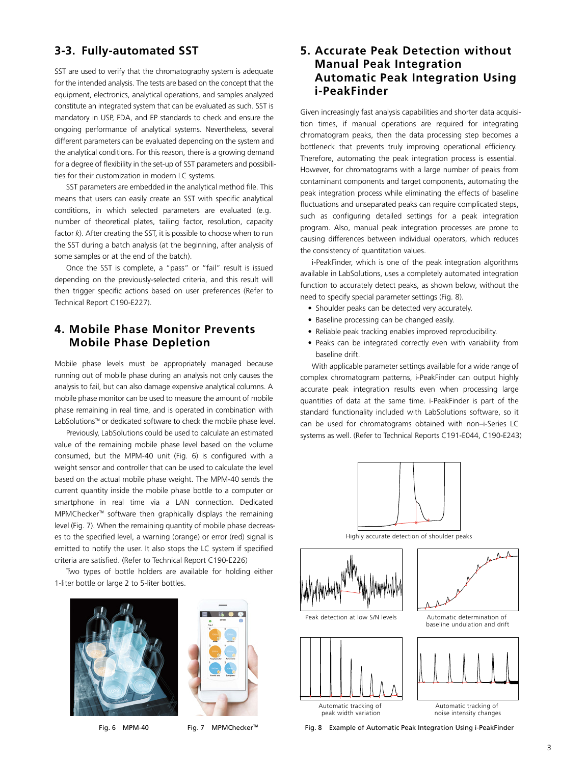#### **3-3. Fully-automated SST**

SST are used to verify that the chromatography system is adequate for the intended analysis. The tests are based on the concept that the equipment, electronics, analytical operations, and samples analyzed constitute an integrated system that can be evaluated as such. SST is mandatory in USP, FDA, and EP standards to check and ensure the ongoing performance of analytical systems. Nevertheless, several different parameters can be evaluated depending on the system and the analytical conditions. For this reason, there is a growing demand for a degree of flexibility in the set-up of SST parameters and possibilities for their customization in modern LC systems.

SST parameters are embedded in the analytical method file. This means that users can easily create an SST with specific analytical conditions, in which selected parameters are evaluated (e.g. number of theoretical plates, tailing factor, resolution, capacity factor *k*). After creating the SST, it is possible to choose when to run the SST during a batch analysis (at the beginning, after analysis of some samples or at the end of the batch).

Once the SST is complete, a "pass" or "fail" result is issued depending on the previously-selected criteria, and this result will then trigger specific actions based on user preferences (Refer to Technical Report C190-E227).

#### **4. Mobile Phase Monitor Prevents Mobile Phase Depletion**

Mobile phase levels must be appropriately managed because running out of mobile phase during an analysis not only causes the analysis to fail, but can also damage expensive analytical columns. A mobile phase monitor can be used to measure the amount of mobile phase remaining in real time, and is operated in combination with LabSolutions™ or dedicated software to check the mobile phase level.

Previously, LabSolutions could be used to calculate an estimated value of the remaining mobile phase level based on the volume consumed, but the MPM-40 unit (Fig. 6) is configured with a weight sensor and controller that can be used to calculate the level based on the actual mobile phase weight. The MPM-40 sends the current quantity inside the mobile phase bottle to a computer or smartphone in real time via a LAN connection. Dedicated MPMChecker™ software then graphically displays the remaining level (Fig. 7). When the remaining quantity of mobile phase decreases to the specified level, a warning (orange) or error (red) signal is emitted to notify the user. It also stops the LC system if specified criteria are satisfied. (Refer to Technical Report C190-E226)

Two types of bottle holders are available for holding either 1-liter bottle or large 2 to 5-liter bottles.





Fig. 6 MPM-40 Fig. 7 MPMChecker™

#### **5. Accurate Peak Detection without Manual Peak Integration Automatic Peak Integration Using i-PeakFinder**

Given increasingly fast analysis capabilities and shorter data acquisition times, if manual operations are required for integrating chromatogram peaks, then the data processing step becomes a bottleneck that prevents truly improving operational efficiency. Therefore, automating the peak integration process is essential. However, for chromatograms with a large number of peaks from contaminant components and target components, automating the peak integration process while eliminating the effects of baseline fluctuations and unseparated peaks can require complicated steps, such as configuring detailed settings for a peak integration program. Also, manual peak integration processes are prone to causing differences between individual operators, which reduces the consistency of quantitation values.

i-PeakFinder, which is one of the peak integration algorithms available in LabSolutions, uses a completely automated integration function to accurately detect peaks, as shown below, without the need to specify special parameter settings (Fig. 8).

- Shoulder peaks can be detected very accurately.
- Baseline processing can be changed easily.
- Reliable peak tracking enables improved reproducibility.
- Peaks can be integrated correctly even with variability from baseline drift.

With applicable parameter settings available for a wide range of complex chromatogram patterns, i-PeakFinder can output highly accurate peak integration results even when processing large quantities of data at the same time. i-PeakFinder is part of the standard functionality included with LabSolutions software, so it can be used for chromatograms obtained with non–i-Series LC systems as well. (Refer to Technical Reports C191-E044, C190-E243)



Highly accurate detection of shoulder peaks







baseline undulation and drift



noise intensity changes

Fig. 8 Example of Automatic Peak Integration Using i-PeakFinder